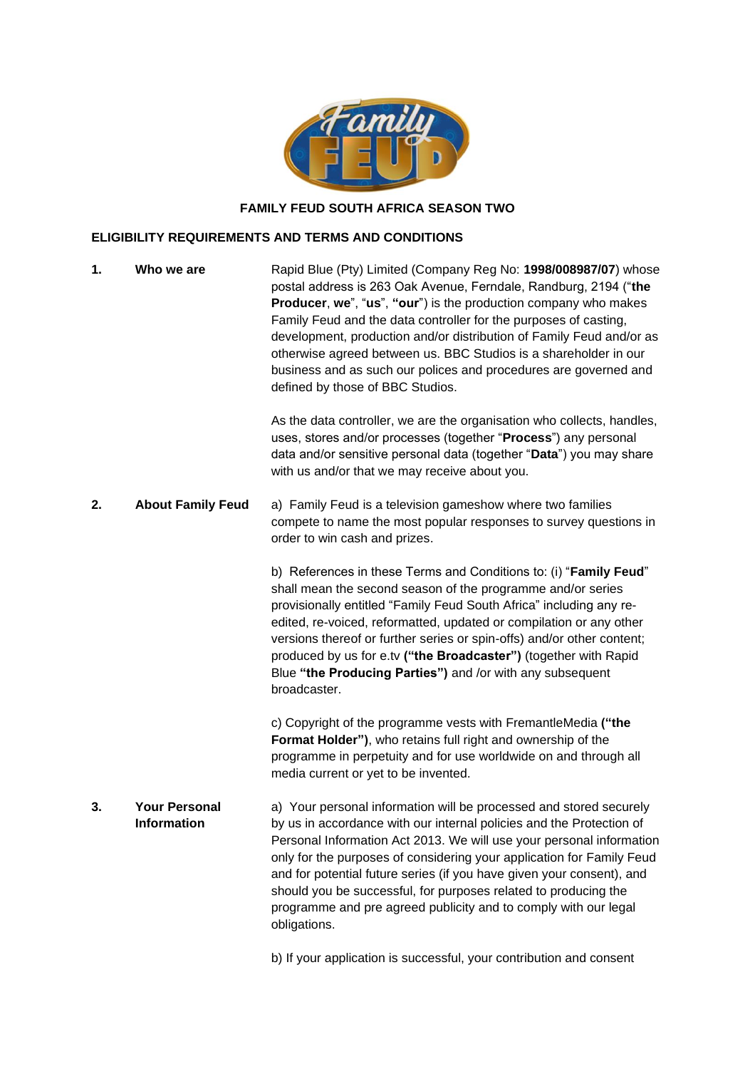

## **FAMILY FEUD SOUTH AFRICA SEASON TWO**

## **ELIGIBILITY REQUIREMENTS AND TERMS AND CONDITIONS**

| 1. | Who we are                          | Rapid Blue (Pty) Limited (Company Reg No: 1998/008987/07) whose<br>postal address is 263 Oak Avenue, Ferndale, Randburg, 2194 ("the<br>Producer, we", "us", "our") is the production company who makes<br>Family Feud and the data controller for the purposes of casting,<br>development, production and/or distribution of Family Feud and/or as<br>otherwise agreed between us. BBC Studios is a shareholder in our<br>business and as such our polices and procedures are governed and<br>defined by those of BBC Studios. |
|----|-------------------------------------|--------------------------------------------------------------------------------------------------------------------------------------------------------------------------------------------------------------------------------------------------------------------------------------------------------------------------------------------------------------------------------------------------------------------------------------------------------------------------------------------------------------------------------|
|    |                                     | As the data controller, we are the organisation who collects, handles,<br>uses, stores and/or processes (together "Process") any personal<br>data and/or sensitive personal data (together "Data") you may share<br>with us and/or that we may receive about you.                                                                                                                                                                                                                                                              |
| 2. | <b>About Family Feud</b>            | a) Family Feud is a television gameshow where two families<br>compete to name the most popular responses to survey questions in<br>order to win cash and prizes.                                                                                                                                                                                                                                                                                                                                                               |
|    |                                     | b) References in these Terms and Conditions to: (i) "Family Feud"<br>shall mean the second season of the programme and/or series<br>provisionally entitled "Family Feud South Africa" including any re-<br>edited, re-voiced, reformatted, updated or compilation or any other<br>versions thereof or further series or spin-offs) and/or other content;<br>produced by us for e.tv ("the Broadcaster") (together with Rapid<br>Blue "the Producing Parties") and /or with any subsequent<br>broadcaster.                      |
|    |                                     | c) Copyright of the programme vests with FremantleMedia ("the<br>Format Holder"), who retains full right and ownership of the<br>programme in perpetuity and for use worldwide on and through all<br>media current or yet to be invented.                                                                                                                                                                                                                                                                                      |
| 3. | <b>Your Personal</b><br>Information | a) Your personal information will be processed and stored securely<br>by us in accordance with our internal policies and the Protection of<br>Personal Information Act 2013. We will use your personal information<br>only for the purposes of considering your application for Family Feud<br>and for potential future series (if you have given your consent), and<br>should you be successful, for purposes related to producing the<br>programme and pre agreed publicity and to comply with our legal<br>obligations.     |

b) If your application is successful, your contribution and consent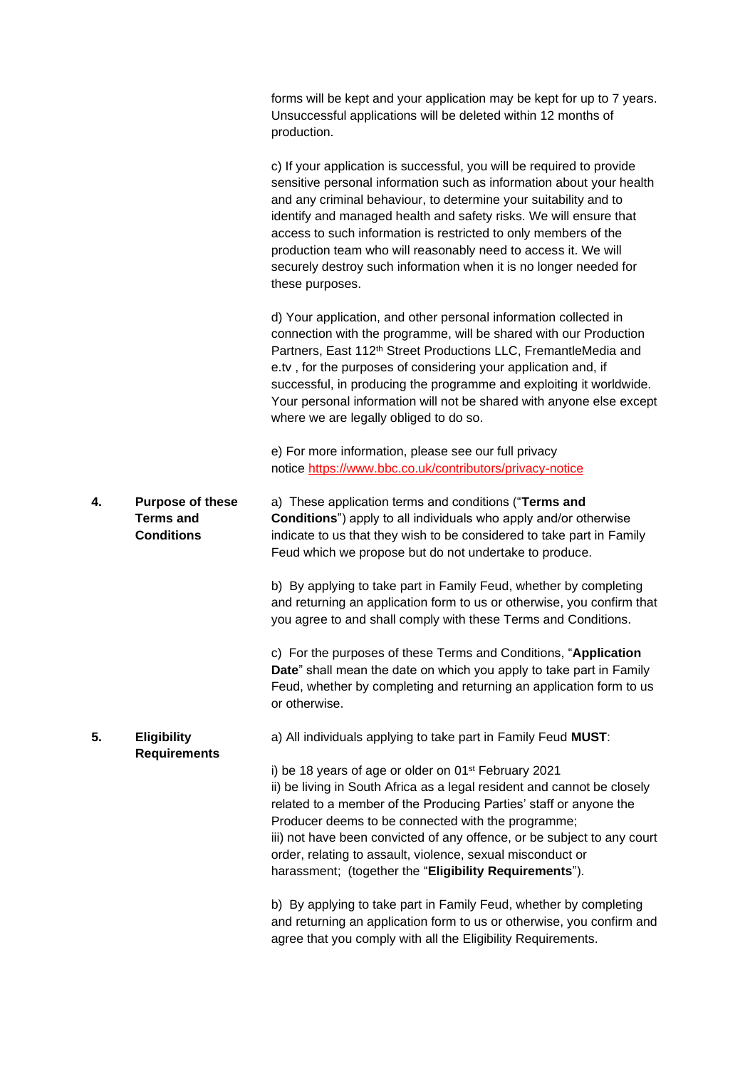|    |                                                                  | forms will be kept and your application may be kept for up to 7 years.<br>Unsuccessful applications will be deleted within 12 months of<br>production.                                                                                                                                                                                                                                                                                                                                                              |
|----|------------------------------------------------------------------|---------------------------------------------------------------------------------------------------------------------------------------------------------------------------------------------------------------------------------------------------------------------------------------------------------------------------------------------------------------------------------------------------------------------------------------------------------------------------------------------------------------------|
|    |                                                                  | c) If your application is successful, you will be required to provide<br>sensitive personal information such as information about your health<br>and any criminal behaviour, to determine your suitability and to<br>identify and managed health and safety risks. We will ensure that<br>access to such information is restricted to only members of the<br>production team who will reasonably need to access it. We will<br>securely destroy such information when it is no longer needed for<br>these purposes. |
|    |                                                                  | d) Your application, and other personal information collected in<br>connection with the programme, will be shared with our Production<br>Partners, East 112 <sup>th</sup> Street Productions LLC, FremantleMedia and<br>e.tv, for the purposes of considering your application and, if<br>successful, in producing the programme and exploiting it worldwide.<br>Your personal information will not be shared with anyone else except<br>where we are legally obliged to do so.                                     |
|    |                                                                  | e) For more information, please see our full privacy<br>notice https://www.bbc.co.uk/contributors/privacy-notice                                                                                                                                                                                                                                                                                                                                                                                                    |
| 4. | <b>Purpose of these</b><br><b>Terms and</b><br><b>Conditions</b> | a) These application terms and conditions ("Terms and<br><b>Conditions</b> ") apply to all individuals who apply and/or otherwise<br>indicate to us that they wish to be considered to take part in Family<br>Feud which we propose but do not undertake to produce.                                                                                                                                                                                                                                                |
|    |                                                                  | b) By applying to take part in Family Feud, whether by completing<br>and returning an application form to us or otherwise, you confirm that<br>you agree to and shall comply with these Terms and Conditions.                                                                                                                                                                                                                                                                                                       |
|    |                                                                  | c) For the purposes of these Terms and Conditions, "Application<br>Date" shall mean the date on which you apply to take part in Family<br>Feud, whether by completing and returning an application form to us<br>or otherwise.                                                                                                                                                                                                                                                                                      |
| 5. | <b>Eligibility</b><br><b>Requirements</b>                        | a) All individuals applying to take part in Family Feud MUST:                                                                                                                                                                                                                                                                                                                                                                                                                                                       |
|    |                                                                  | i) be 18 years of age or older on 01 <sup>st</sup> February 2021<br>ii) be living in South Africa as a legal resident and cannot be closely<br>related to a member of the Producing Parties' staff or anyone the<br>Producer deems to be connected with the programme;<br>iii) not have been convicted of any offence, or be subject to any court<br>order, relating to assault, violence, sexual misconduct or<br>harassment; (together the "Eligibility Requirements").                                           |
|    |                                                                  | b) By applying to take part in Family Feud, whether by completing<br>and returning an application form to us or otherwise, you confirm and<br>agree that you comply with all the Eligibility Requirements.                                                                                                                                                                                                                                                                                                          |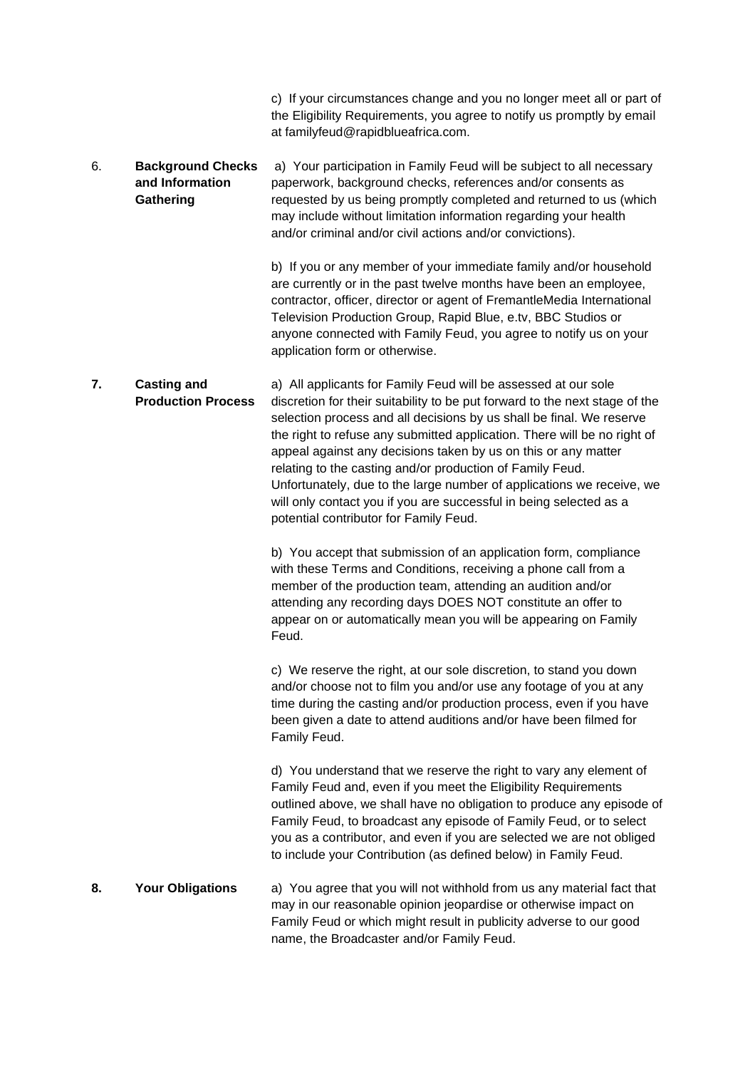|    |                                                          | c) If your circumstances change and you no longer meet all or part of<br>the Eligibility Requirements, you agree to notify us promptly by email<br>at familyfeud@rapidblueafrica.com.                                                                                                                                                                                                                                                                                                                                                                                                                                     |
|----|----------------------------------------------------------|---------------------------------------------------------------------------------------------------------------------------------------------------------------------------------------------------------------------------------------------------------------------------------------------------------------------------------------------------------------------------------------------------------------------------------------------------------------------------------------------------------------------------------------------------------------------------------------------------------------------------|
| 6. | <b>Background Checks</b><br>and Information<br>Gathering | a) Your participation in Family Feud will be subject to all necessary<br>paperwork, background checks, references and/or consents as<br>requested by us being promptly completed and returned to us (which<br>may include without limitation information regarding your health<br>and/or criminal and/or civil actions and/or convictions).                                                                                                                                                                                                                                                                               |
|    |                                                          | b) If you or any member of your immediate family and/or household<br>are currently or in the past twelve months have been an employee,<br>contractor, officer, director or agent of FremantleMedia International<br>Television Production Group, Rapid Blue, e.tv, BBC Studios or<br>anyone connected with Family Feud, you agree to notify us on your<br>application form or otherwise.                                                                                                                                                                                                                                  |
| 7. | <b>Casting and</b><br><b>Production Process</b>          | a) All applicants for Family Feud will be assessed at our sole<br>discretion for their suitability to be put forward to the next stage of the<br>selection process and all decisions by us shall be final. We reserve<br>the right to refuse any submitted application. There will be no right of<br>appeal against any decisions taken by us on this or any matter<br>relating to the casting and/or production of Family Feud.<br>Unfortunately, due to the large number of applications we receive, we<br>will only contact you if you are successful in being selected as a<br>potential contributor for Family Feud. |
|    |                                                          | b) You accept that submission of an application form, compliance<br>with these Terms and Conditions, receiving a phone call from a<br>member of the production team, attending an audition and/or<br>attending any recording days DOES NOT constitute an offer to<br>appear on or automatically mean you will be appearing on Family<br>Feud.                                                                                                                                                                                                                                                                             |
|    |                                                          | c) We reserve the right, at our sole discretion, to stand you down<br>and/or choose not to film you and/or use any footage of you at any<br>time during the casting and/or production process, even if you have<br>been given a date to attend auditions and/or have been filmed for<br>Family Feud.                                                                                                                                                                                                                                                                                                                      |
|    |                                                          | d) You understand that we reserve the right to vary any element of<br>Family Feud and, even if you meet the Eligibility Requirements<br>outlined above, we shall have no obligation to produce any episode of<br>Family Feud, to broadcast any episode of Family Feud, or to select<br>you as a contributor, and even if you are selected we are not obliged<br>to include your Contribution (as defined below) in Family Feud.                                                                                                                                                                                           |
| 8. | <b>Your Obligations</b>                                  | a) You agree that you will not withhold from us any material fact that<br>may in our reasonable opinion jeopardise or otherwise impact on<br>Family Feud or which might result in publicity adverse to our good<br>name, the Broadcaster and/or Family Feud.                                                                                                                                                                                                                                                                                                                                                              |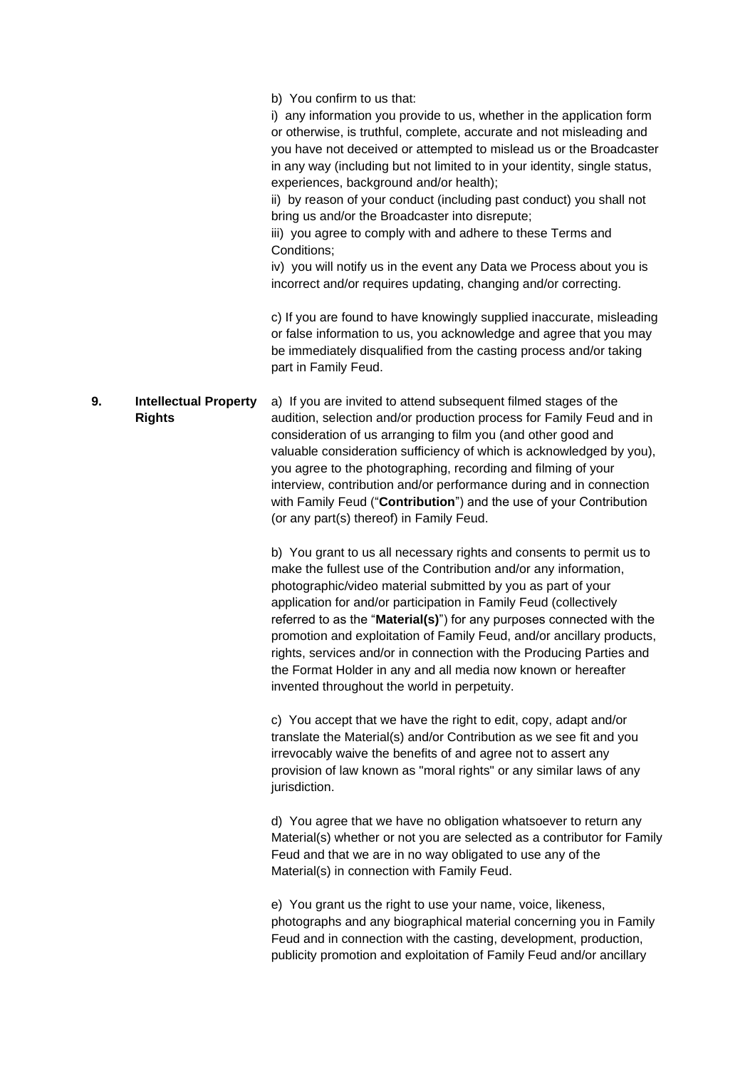|    |                                               | b) You confirm to us that:<br>i) any information you provide to us, whether in the application form<br>or otherwise, is truthful, complete, accurate and not misleading and<br>you have not deceived or attempted to mislead us or the Broadcaster<br>in any way (including but not limited to in your identity, single status,<br>experiences, background and/or health);<br>ii) by reason of your conduct (including past conduct) you shall not<br>bring us and/or the Broadcaster into disrepute;<br>iii) you agree to comply with and adhere to these Terms and<br>Conditions;<br>iv) you will notify us in the event any Data we Process about you is<br>incorrect and/or requires updating, changing and/or correcting. |
|----|-----------------------------------------------|--------------------------------------------------------------------------------------------------------------------------------------------------------------------------------------------------------------------------------------------------------------------------------------------------------------------------------------------------------------------------------------------------------------------------------------------------------------------------------------------------------------------------------------------------------------------------------------------------------------------------------------------------------------------------------------------------------------------------------|
|    |                                               | c) If you are found to have knowingly supplied inaccurate, misleading<br>or false information to us, you acknowledge and agree that you may<br>be immediately disqualified from the casting process and/or taking<br>part in Family Feud.                                                                                                                                                                                                                                                                                                                                                                                                                                                                                      |
| 9. | <b>Intellectual Property</b><br><b>Rights</b> | a) If you are invited to attend subsequent filmed stages of the<br>audition, selection and/or production process for Family Feud and in<br>consideration of us arranging to film you (and other good and<br>valuable consideration sufficiency of which is acknowledged by you),<br>you agree to the photographing, recording and filming of your<br>interview, contribution and/or performance during and in connection<br>with Family Feud ("Contribution") and the use of your Contribution<br>(or any part(s) thereof) in Family Feud.                                                                                                                                                                                     |
|    |                                               | b) You grant to us all necessary rights and consents to permit us to<br>make the fullest use of the Contribution and/or any information,<br>photographic/video material submitted by you as part of your<br>application for and/or participation in Family Feud (collectively<br>referred to as the "Material(s)") for any purposes connected with the<br>promotion and exploitation of Family Feud, and/or ancillary products,<br>rights, services and/or in connection with the Producing Parties and<br>the Format Holder in any and all media now known or hereafter<br>invented throughout the world in perpetuity.                                                                                                       |
|    |                                               | c) You accept that we have the right to edit, copy, adapt and/or<br>translate the Material(s) and/or Contribution as we see fit and you<br>irrevocably waive the benefits of and agree not to assert any<br>provision of law known as "moral rights" or any similar laws of any<br>jurisdiction.                                                                                                                                                                                                                                                                                                                                                                                                                               |
|    |                                               | d) You agree that we have no obligation whatsoever to return any<br>Material(s) whether or not you are selected as a contributor for Family<br>Feud and that we are in no way obligated to use any of the<br>Material(s) in connection with Family Feud.                                                                                                                                                                                                                                                                                                                                                                                                                                                                       |
|    |                                               | e) You grant us the right to use your name, voice, likeness,<br>photographs and any biographical material concerning you in Family<br>Feud and in connection with the casting, development, production,<br>publicity promotion and exploitation of Family Feud and/or ancillary                                                                                                                                                                                                                                                                                                                                                                                                                                                |
|    |                                               |                                                                                                                                                                                                                                                                                                                                                                                                                                                                                                                                                                                                                                                                                                                                |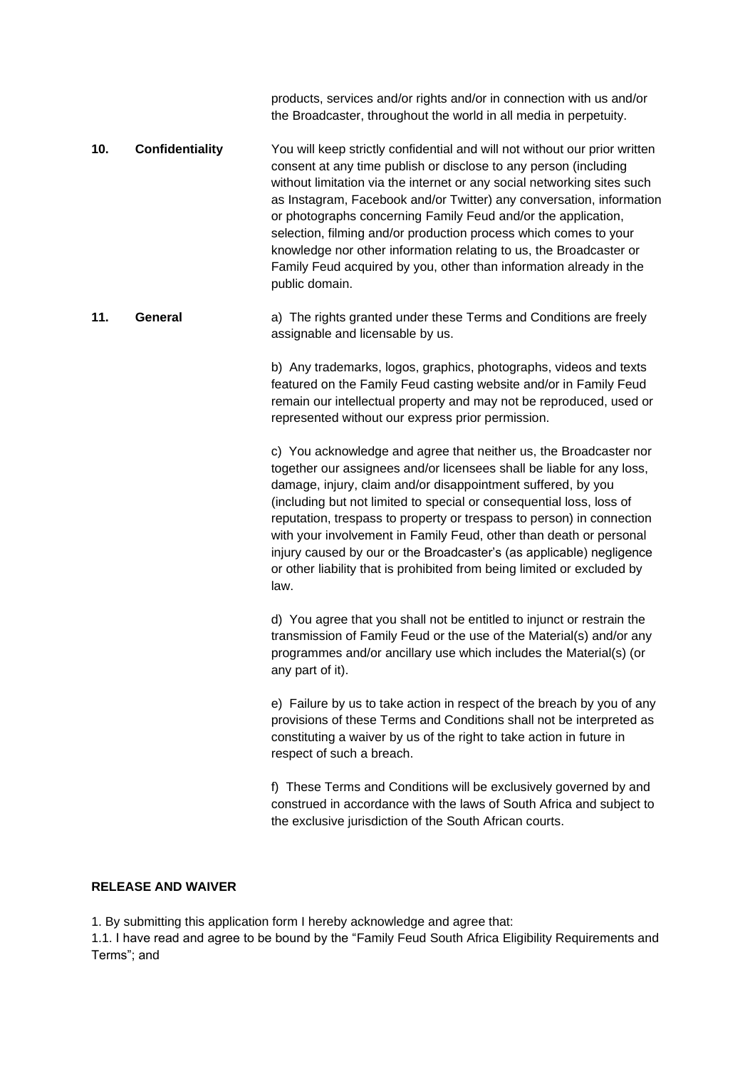products, services and/or rights and/or in connection with us and/or the Broadcaster, throughout the world in all media in perpetuity.

- **10. Confidentiality** You will keep strictly confidential and will not without our prior written consent at any time publish or disclose to any person (including without limitation via the internet or any social networking sites such as Instagram, Facebook and/or Twitter) any conversation, information or photographs concerning Family Feud and/or the application, selection, filming and/or production process which comes to your knowledge nor other information relating to us, the Broadcaster or Family Feud acquired by you, other than information already in the public domain.
- **11. General** a) The rights granted under these Terms and Conditions are freely assignable and licensable by us.

b) Any trademarks, logos, graphics, photographs, videos and texts featured on the Family Feud casting website and/or in Family Feud remain our intellectual property and may not be reproduced, used or represented without our express prior permission.

c) You acknowledge and agree that neither us, the Broadcaster nor together our assignees and/or licensees shall be liable for any loss, damage, injury, claim and/or disappointment suffered, by you (including but not limited to special or consequential loss, loss of reputation, trespass to property or trespass to person) in connection with your involvement in Family Feud, other than death or personal injury caused by our or the Broadcaster's (as applicable) negligence or other liability that is prohibited from being limited or excluded by law.

d) You agree that you shall not be entitled to injunct or restrain the transmission of Family Feud or the use of the Material(s) and/or any programmes and/or ancillary use which includes the Material(s) (or any part of it).

e) Failure by us to take action in respect of the breach by you of any provisions of these Terms and Conditions shall not be interpreted as constituting a waiver by us of the right to take action in future in respect of such a breach.

f) These Terms and Conditions will be exclusively governed by and construed in accordance with the laws of South Africa and subject to the exclusive jurisdiction of the South African courts.

## **RELEASE AND WAIVER**

1. By submitting this application form I hereby acknowledge and agree that:

1.1. I have read and agree to be bound by the "Family Feud South Africa Eligibility Requirements and Terms"; and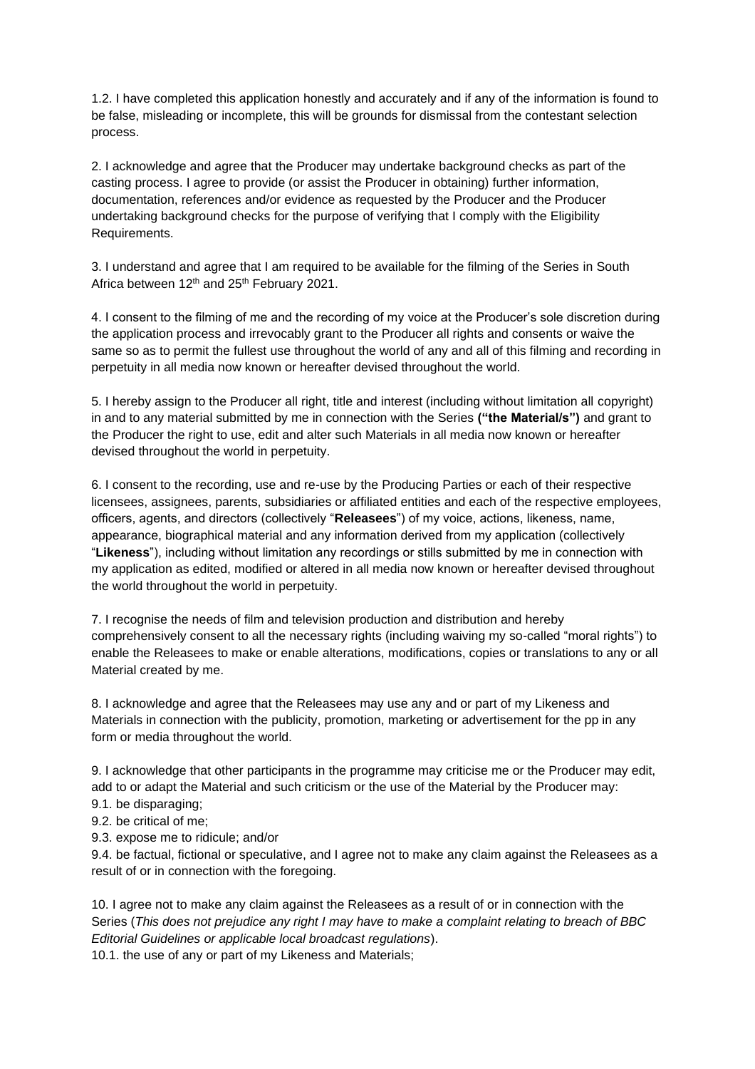1.2. I have completed this application honestly and accurately and if any of the information is found to be false, misleading or incomplete, this will be grounds for dismissal from the contestant selection process.

2. I acknowledge and agree that the Producer may undertake background checks as part of the casting process. I agree to provide (or assist the Producer in obtaining) further information, documentation, references and/or evidence as requested by the Producer and the Producer undertaking background checks for the purpose of verifying that I comply with the Eligibility Requirements.

3. I understand and agree that I am required to be available for the filming of the Series in South Africa between 12<sup>th</sup> and 25<sup>th</sup> February 2021.

4. I consent to the filming of me and the recording of my voice at the Producer's sole discretion during the application process and irrevocably grant to the Producer all rights and consents or waive the same so as to permit the fullest use throughout the world of any and all of this filming and recording in perpetuity in all media now known or hereafter devised throughout the world.

5. I hereby assign to the Producer all right, title and interest (including without limitation all copyright) in and to any material submitted by me in connection with the Series **("the Material/s")** and grant to the Producer the right to use, edit and alter such Materials in all media now known or hereafter devised throughout the world in perpetuity.

6. I consent to the recording, use and re-use by the Producing Parties or each of their respective licensees, assignees, parents, subsidiaries or affiliated entities and each of the respective employees, officers, agents, and directors (collectively "**Releasees**") of my voice, actions, likeness, name, appearance, biographical material and any information derived from my application (collectively "**Likeness**"), including without limitation any recordings or stills submitted by me in connection with my application as edited, modified or altered in all media now known or hereafter devised throughout the world throughout the world in perpetuity.

7. I recognise the needs of film and television production and distribution and hereby comprehensively consent to all the necessary rights (including waiving my so-called "moral rights") to enable the Releasees to make or enable alterations, modifications, copies or translations to any or all Material created by me.

8. I acknowledge and agree that the Releasees may use any and or part of my Likeness and Materials in connection with the publicity, promotion, marketing or advertisement for the pp in any form or media throughout the world.

9. I acknowledge that other participants in the programme may criticise me or the Producer may edit, add to or adapt the Material and such criticism or the use of the Material by the Producer may:

- 9.1. be disparaging;
- 9.2. be critical of me;
- 9.3. expose me to ridicule; and/or

9.4. be factual, fictional or speculative, and I agree not to make any claim against the Releasees as a result of or in connection with the foregoing.

10. I agree not to make any claim against the Releasees as a result of or in connection with the Series (*This does not prejudice any right I may have to make a complaint relating to breach of BBC Editorial Guidelines or applicable local broadcast regulations*).

10.1. the use of any or part of my Likeness and Materials;